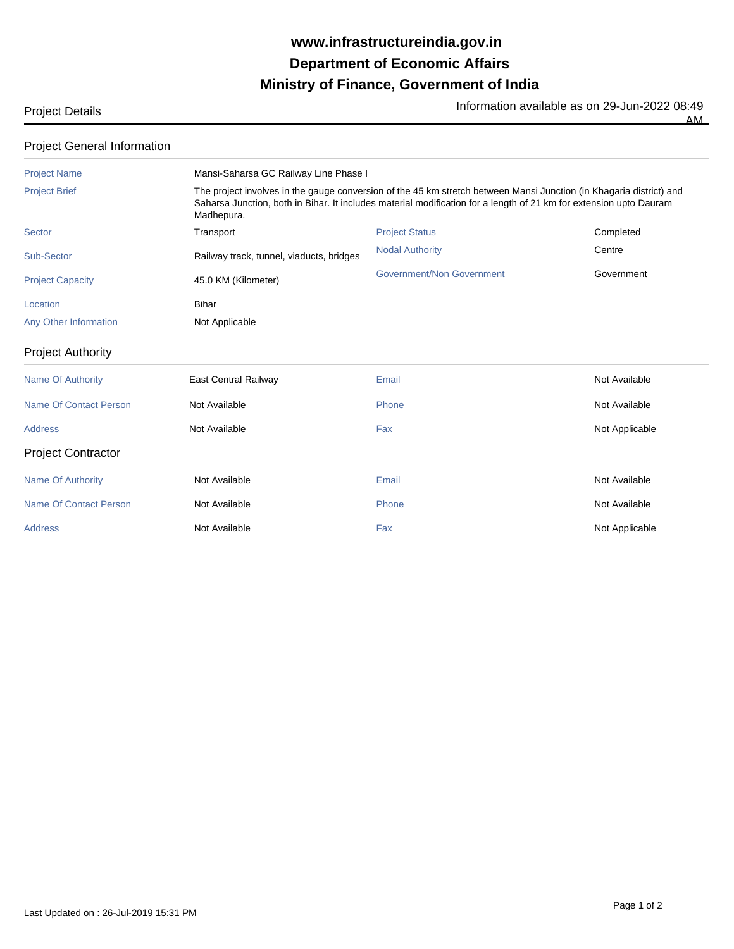## **Ministry of Finance, Government of India Department of Economic Affairs www.infrastructureindia.gov.in**

Project Details **Information available as on 29-Jun-2022 08:49** 

AM

| <b>Project General Information</b> |
|------------------------------------|
|------------------------------------|

| <b>Project Name</b>           | Mansi-Saharsa GC Railway Line Phase I                                                                                                                                                                                                                   |                           |                |  |
|-------------------------------|---------------------------------------------------------------------------------------------------------------------------------------------------------------------------------------------------------------------------------------------------------|---------------------------|----------------|--|
| <b>Project Brief</b>          | The project involves in the gauge conversion of the 45 km stretch between Mansi Junction (in Khagaria district) and<br>Saharsa Junction, both in Bihar. It includes material modification for a length of 21 km for extension upto Dauram<br>Madhepura. |                           |                |  |
| Sector                        | Transport                                                                                                                                                                                                                                               | <b>Project Status</b>     | Completed      |  |
| Sub-Sector                    | Railway track, tunnel, viaducts, bridges                                                                                                                                                                                                                | <b>Nodal Authority</b>    | Centre         |  |
| <b>Project Capacity</b>       | 45.0 KM (Kilometer)                                                                                                                                                                                                                                     | Government/Non Government | Government     |  |
| Location                      | Bihar                                                                                                                                                                                                                                                   |                           |                |  |
| Any Other Information         | Not Applicable                                                                                                                                                                                                                                          |                           |                |  |
| <b>Project Authority</b>      |                                                                                                                                                                                                                                                         |                           |                |  |
| <b>Name Of Authority</b>      | <b>East Central Railway</b>                                                                                                                                                                                                                             | Email                     | Not Available  |  |
| <b>Name Of Contact Person</b> | Not Available                                                                                                                                                                                                                                           | Phone                     | Not Available  |  |
| <b>Address</b>                | Not Available                                                                                                                                                                                                                                           | Fax                       | Not Applicable |  |
| <b>Project Contractor</b>     |                                                                                                                                                                                                                                                         |                           |                |  |
| <b>Name Of Authority</b>      | Not Available                                                                                                                                                                                                                                           | Email                     | Not Available  |  |
| Name Of Contact Person        | Not Available                                                                                                                                                                                                                                           | Phone                     | Not Available  |  |
| <b>Address</b>                | Not Available                                                                                                                                                                                                                                           | Fax                       | Not Applicable |  |